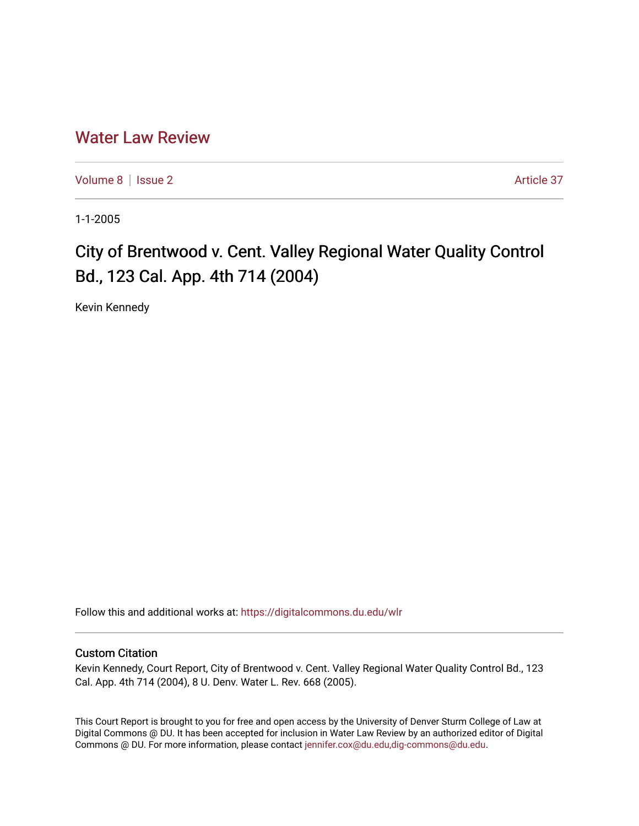## [Water Law Review](https://digitalcommons.du.edu/wlr)

[Volume 8](https://digitalcommons.du.edu/wlr/vol8) | [Issue 2](https://digitalcommons.du.edu/wlr/vol8/iss2) Article 37

1-1-2005

## City of Brentwood v. Cent. Valley Regional Water Quality Control Bd., 123 Cal. App. 4th 714 (2004)

Kevin Kennedy

Follow this and additional works at: [https://digitalcommons.du.edu/wlr](https://digitalcommons.du.edu/wlr?utm_source=digitalcommons.du.edu%2Fwlr%2Fvol8%2Fiss2%2F37&utm_medium=PDF&utm_campaign=PDFCoverPages) 

## Custom Citation

Kevin Kennedy, Court Report, City of Brentwood v. Cent. Valley Regional Water Quality Control Bd., 123 Cal. App. 4th 714 (2004), 8 U. Denv. Water L. Rev. 668 (2005).

This Court Report is brought to you for free and open access by the University of Denver Sturm College of Law at Digital Commons @ DU. It has been accepted for inclusion in Water Law Review by an authorized editor of Digital Commons @ DU. For more information, please contact [jennifer.cox@du.edu,dig-commons@du.edu.](mailto:jennifer.cox@du.edu,dig-commons@du.edu)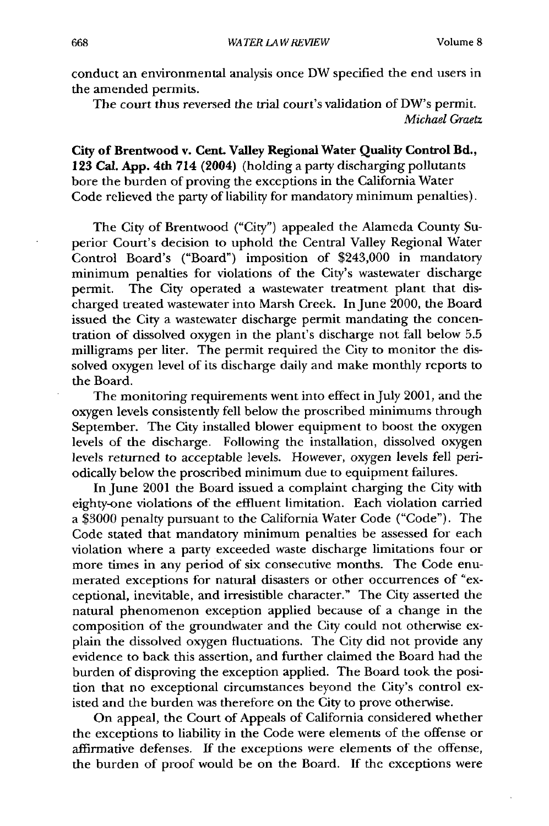conduct an environmental analysis once DW specified the end users in the amended permits.

The court thus reversed the trial court's validation of DW's permit. *Michael Graetz*

City of Brentwood v. **Cent.** Valley **Regional Water** Quality Control Bd., **123 Cal. App. 4th** 714 (2004) (holding a party discharging pollutants bore the burden of proving the exceptions in the California Water Code relieved the party of liability for mandatory minimum penalties).

The City of Brentwood ("City") appealed the Alameda County Superior Court's decision to uphold the Central Valley Regional Water Control Board's ("Board") imposition of \$243,000 in mandatory minimum penalties for violations of the City's wastewater discharge permit. The City operated a wastewater treatment plant that discharged treated wastewater into Marsh Creek. In June 2000, the Board issued the City a wastewater discharge permit mandating the concentration of dissolved oxygen in the plant's discharge not fall below **5.5** milligrams per liter. The permit required the City to monitor the dissolved oxygen level of its discharge daily and make monthly reports to the Board.

The monitoring requirements went into effect in July 2001, and the oxygen levels consistently fell below the proscribed minimums through September. The City installed blower equipment to boost the oxygen levels of the discharge. Following the installation, dissolved oxygen levels returned to acceptable levels. However, oxygen levels fell periodically below the proscribed minimum due to equipment failures.

In June 2001 the Board issued a complaint charging the City with eighty-one violations of the effluent limitation. Each violation carried a \$3000 penalty pursuant to the California Water Code ("Code"). The Code stated that mandatory minimum penalties be assessed for each violation where a party exceeded waste discharge limitations four or more times in any period of six consecutive months. The Code enumerated exceptions for natural disasters or other occurrences of "exceptional, inevitable, and irresistible character." The City asserted the natural phenomenon exception applied because of a change in the composition of the groundwater and the City could not otherwise explain the dissolved oxygen fluctuations. The City did not provide any evidence to back this assertion, and further claimed the Board had the burden of disproving the exception applied. The Board took the position that no exceptional circumstances beyond the City's control existed and the burden was therefore on the City to prove otherwise.

On appeal, the Court of Appeals of California considered whether the exceptions to liability in the Code were elements of the offense or affirmative defenses. If the exceptions were elements of the offense, the burden of proof would be on the Board. **If** the exceptions were